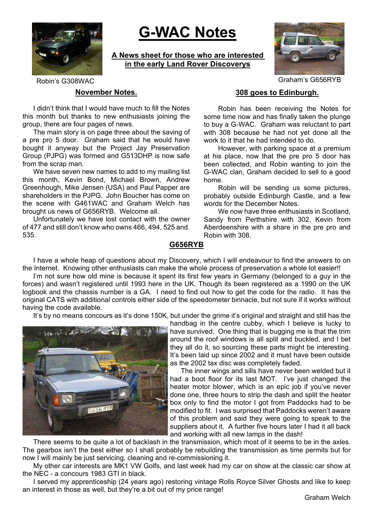

# **G-WAC Notes**

**A News sheet for those who are interested in the early Land Rover Discoverys**



Robin's G308WAC GRAME GRAME GRAME GRAME GRAME GRAME GRAME GRAME GRAME GRAME GRAME GRAME GRAME GRAME GRAME GRAME GRAME GRAME GRAME GRAME GRAME GRAME GRAME GRAME GRAME GRAME GRAME GRAME GRAME GRAME GRAME GRAME GRAME GRAME GR

#### **November Notes.**

I didn't think that I would have much to fill the Notes this month but thanks to new enthusiasts joining the group, there are four pages of news.

The main story is on page three about the saving of a pre pro 5 door. Graham said that he would have bought it anyway but the Project Jay Preservation Group (PJPG) was formed and G513DHP is now safe from the scrap man.

We have seven new names to add to my mailing list this month, Kevin Bond, Michael Brown, Andrew Greenhough, Mike Jensen (USA) and Paul Papper are shareholders in the PJPG. John Boucher has come on the scene with G461WAC and Graham Welch has brought us news of G656RYB. Welcome all.

Unfortunately we have lost contact with the owner of 477 and still don't know who owns 466, 494, 525 and. 535.

# **308 goes to Edinburgh.**

Robin has been receiving the Notes for some time now and has finally taken the plunge to buy a G-WAC. Graham was reluctant to part with 308 because he had not yet done all the work to it that he had intended to do.

However, with parking space at a premium at his place, now that the pre pro 5 door has been collected, and Robin wanting to join the G-WAC clan, Graham decided to sell to a good home.

Robin will be sending us some pictures, probably outside Edinburgh Castle, and a few words for the December Notes.

We now have three enthusiasts in Scotland Sandy from Perthshire with 302, Kevin from Aberdeenshire with a share in the pre pro and Robin with 308.

#### **G656RYB**

I have a whole heap of questions about my Discovery, which I will endeavour to find the answers to on the Internet. Knowing other enthusiasts can make the whole process of preservation a whole lot easier!!

I'm not sure how old mine is because it spent its first few years in Germany (belonged to a guy in the forces) and wasn't registered until 1993 here in the UK. Though its been registered as a 1990 on the UK logbook and the chassis number is a GA. I need to find out how to get the code for the radio. It has the original CATS with additional controls either side of the speedometer binnacle, but not sure if it works without having the code available.

It's by no means concours as it's done 150K, but under the grime it's original and straight and still has the



handbag in the centre cubby, which I believe is lucky to have survived. One thing that is bugging me is that the trim around the roof windows is all split and buckled, and I bet they all do it, so sourcing these parts might be interesting. It's been laid up since 2002 and it must have been outside as the 2002 tax disc was completely faded.

The inner wings and sills have never been welded but it had a boot floor for its last MOT. I've just changed the heater motor blower, which is an epic job if you've never done one, three hours to strip the dash and split the heater box only to find the motor I got from Paddocks had to be modified to fit. I was surprised that Paddocks weren't aware of this problem and said they were going to speak to the suppliers about it. A further five hours later I had it all back and working with all new lamps in the dash!

There seems to be quite a lot of backlash in the transmission, which most of it seems to be in the axles. The gearbox isn't the best either so I shall probably be rebuilding the transmission as time permits but for now I will mainly be just servicing, cleaning and re-commissioning it.

My other car interests are MK1 VW Golfs, and last week had my car on show at the classic car show at the NEC - a concours 1983 GTI in black.

I served my apprenticeship (24 years ago) restoring vintage Rolls Royce Silver Ghosts and like to keep an interest in those as well, but they're a bit out of my price range!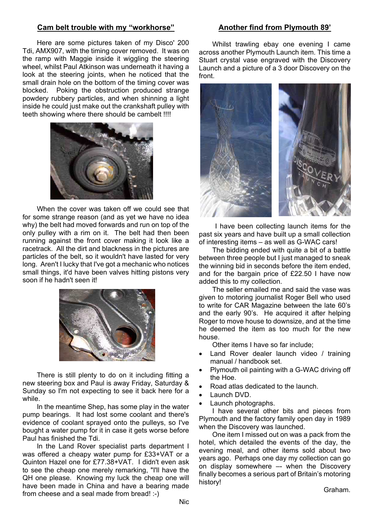#### **Cam belt trouble with my "workhorse"**

Here are some pictures taken of my Disco' 200 Tdi, AMX907, with the timing cover removed. It was on the ramp with Maggie inside it wiggling the steering wheel, whilst Paul Atkinson was underneath it having a look at the steering joints, when he noticed that the small drain hole on the bottom of the timing cover was blocked. Poking the obstruction produced strange powdery rubbery particles, and when shinning a light inside he could just make out the crankshaft pulley with teeth showing where there should be cambelt !!!!



When the cover was taken off we could see that for some strange reason (and as yet we have no idea why) the belt had moved forwards and run on top of the only pulley with a rim on it. The belt had then been running against the front cover making it look like a racetrack. All the dirt and blackness in the pictures are particles of the belt, so it wouldn't have lasted for very long. Aren't I lucky that I've got a mechanic who notices small things, it'd have been valves hitting pistons very soon if he hadn't seen it!



There is still plenty to do on it including fitting a new steering box and Paul is away Friday, Saturday & Sunday so I'm not expecting to see it back here for a while.

In the meantime Shep, has some play in the water pump bearings. It had lost some coolant and there's evidence of coolant sprayed onto the pulleys, so I've bought a water pump for it in case it gets worse before Paul has finished the Tdi.

In the Land Rover specialist parts department I was offered a cheapy water pump for £33+VAT or a Quinton Hazel one for £77.38+VAT. I didn't even ask to see the cheap one merely remarking, "I'll have the QH one please. Knowing my luck the cheap one will have been made in China and have a bearing made from cheese and a seal made from bread! :-)

#### **Another find from Plymouth 89'**

Whilst trawling ebay one evening I came across another Plymouth Launch item. This time a Stuart crystal vase engraved with the Discovery Launch and a picture of a 3 door Discovery on the front.



I have been collecting launch items for the past six years and have built up a small collection of interesting items – as well as G-WAC cars!

The bidding ended with quite a bit of a battle between three people but I just managed to sneak the winning bid in seconds before the item ended, and for the bargain price of £22.50 I have now added this to my collection.

The seller emailed me and said the vase was given to motoring journalist Roger Bell who used to write for CAR Magazine between the late 60's and the early 90's. He acquired it after helping Roger to move house to downsize, and at the time he deemed the item as too much for the new house.

Other items I have so far include;

- Land Rover dealer launch video / training manual / handbook set.
- Plymouth oil painting with a G-WAC driving off the Hoe.
- Road atlas dedicated to the launch.
- Launch DVD.
- Launch photographs.

I have several other bits and pieces from Plymouth and the factory family open day in 1989 when the Discovery was launched.

One item I missed out on was a pack from the hotel, which detailed the events of the day, the evening meal, and other items sold about two years ago. Perhaps one day my collection can go on display somewhere –- when the Discovery finally becomes a serious part of Britain's motoring history!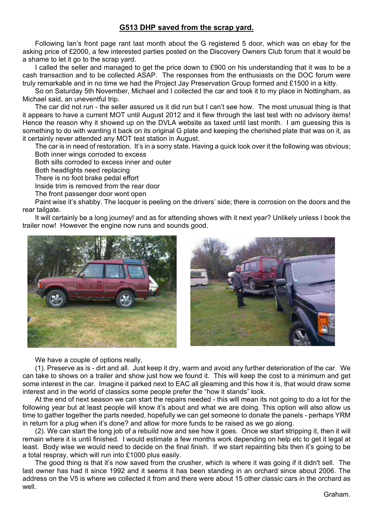# **G513 DHP saved from the scrap yard.**

Following Ian's front page rant last month about the G registered 5 door, which was on ebay for the asking price of £2000, a few interested parties posted on the Discovery Owners Club forum that it would be a shame to let it go to the scrap yard.

I called the seller and managed to get the price down to £900 on his understanding that it was to be a cash transaction and to be collected ASAP. The responses from the enthusiasts on the DOC forum were truly remarkable and in no time we had the Project Jay Preservation Group formed and £1500 in a kitty.

So on Saturday 5th November, Michael and I collected the car and took it to my place in Nottingham, as Michael said, an uneventful trip.

The car did not run - the seller assured us it did run but I can't see how. The most unusual thing is that it appears to have a current MOT until August 2012 and it flew through the last test with no advisory items! Hence the reason why it showed up on the DVLA website as taxed until last month. I am guessing this is something to do with wanting it back on its original G plate and keeping the cherished plate that was on it, as it certainly never attended any MOT test station in August.

The car is in need of restoration. It's in a sorry state. Having a quick look over it the following was obvious; Both inner wings corroded to excess

Both sills corroded to excess inner and outer

Both headlights need replacing

There is no foot brake pedal effort

Inside trim is removed from the rear door

The front passenger door wont open

Paint wise it's shabby. The lacquer is peeling on the drivers' side; there is corrosion on the doors and the rear tailgate.

It will certainly be a long journey! and as for attending shows with it next year? Unlikely unless I book the trailer now! However the engine now runs and sounds good.





We have a couple of options really,

(1). Preserve as is - dirt and all. Just keep it dry, warm and avoid any further deterioration of the car. We can take to shows on a trailer and show just how we found it. This will keep the cost to a minimum and get some interest in the car. Imagine it parked next to EAC all gleaming and this how it is, that would draw some interest and in the world of classics some people prefer the "how it stands" look.

At the end of next season we can start the repairs needed - this will mean its not going to do a lot for the following year but at least people will know it's about and what we are doing. This option will also allow us time to gather together the parts needed, hopefully we can get someone to donate the panels - perhaps YRM in return for a plug when it's done? and allow for more funds to be raised as we go along.

(2). We can start the long job of a rebuild now and see how it goes. Once we start stripping it, then it will remain where it is until finished. I would estimate a few months work depending on help etc to get it legal at least. Body wise we would need to decide on the final finish. If we start repainting bits then it's going to be a total respray, which will run into £1000 plus easily.

The good thing is that it's now saved from the crusher, which is where it was going if it didn't sell. The last owner has had it since 1992 and it seems it has been standing in an orchard since about 2006. The address on the V5 is where we collected it from and there were about 15 other classic cars in the orchard as well.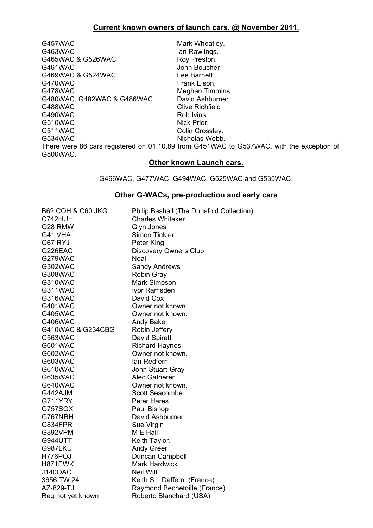G457WAC Mark Wheatley. G463WAC lan Rawlings.<br>
G465WAC & G526WAC compared Roy Preston. G465WAC & G526WAC G461WAC<br>
G469WAC & G524WAC<br>
Lee Barnett. G469WAC & G524WAC G470WAC Frank Elson. G478WAC Meghan Timmins. G480WAC, G482WAC & G486WAC David Ashburner. G488WAC Clive Richfield G490WAC Rob Ivins.<br>C510WAC Rob Ivins.<br>Nick Prior. G511WAC Colin Crossley. G534WAC Nicholas Webb.

Nick Prior.

There were 86 cars registered on 01.10.89 from G451WAC to G537WAC, with the exception of G500WAC. **Other known Launch cars.**

G466WAC, G477WAC, G494WAC, G525WAC and G535WAC.

#### **Other G-WACs, pre-production and early cars**

| <b>B62 COH &amp; C60 JKG</b> | Philip Bashall (The Dunsfold Collection) |
|------------------------------|------------------------------------------|
| C742HUH                      | Charles Whitaker.                        |
| G28 RMW                      | Glyn Jones                               |
| G41 VHA                      | Simon Tinkler                            |
| G67 RYJ                      | Peter King                               |
| G226EAC                      | <b>Discovery Owners Club</b>             |
| G279WAC                      | <b>Neal</b>                              |
| G302WAC                      | <b>Sandy Andrews</b>                     |
| G308WAC                      | <b>Robin Gray</b>                        |
| G310WAC                      | Mark Simpson                             |
| G311WAC                      | Ivor Ramsden                             |
| G316WAC                      | David Cox                                |
| G401WAC                      | Owner not known.                         |
| <b>G405WAC</b>               | Owner not known.                         |
| <b>G406WAC</b>               | <b>Andy Baker</b>                        |
| G410WAC & G234CBG            | Robin Jeffery                            |
| G563WAC                      | David Spirett                            |
| <b>G601WAC</b>               | <b>Richard Haynes</b>                    |
| G602WAC                      | Owner not known.                         |
| G603WAC                      | lan Redfern                              |
| G610WAC                      | John Stuart-Gray                         |
| G635WAC                      | Alec Gatherer                            |
| G640WAC                      | Owner not known.                         |
| G442AJM                      | Scott Seacombe                           |
| G711YRY                      | <b>Peter Hares</b>                       |
| G757SGX                      | Paul Bishop                              |
| G767NRH                      | David Ashburner                          |
| G834FPR                      | Sue Virgin                               |
| <b>G892VPM</b>               | M E Hall                                 |
| <b>G944UTT</b>               | Keith Taylor.                            |
| G987LKU                      | <b>Andy Greer</b>                        |
| H776POJ                      | Duncan Campbell                          |
| H871EWK                      | <b>Mark Hardwick</b>                     |
| <b>J140OAC</b>               | <b>Neil Witt</b>                         |
| 3656 TW 24                   | Keith S L Daffern. (France)              |
| AZ-829-TJ                    | Raymond Bechetoille (France)             |
| Reg not yet known            | Roberto Blanchard (USA)                  |